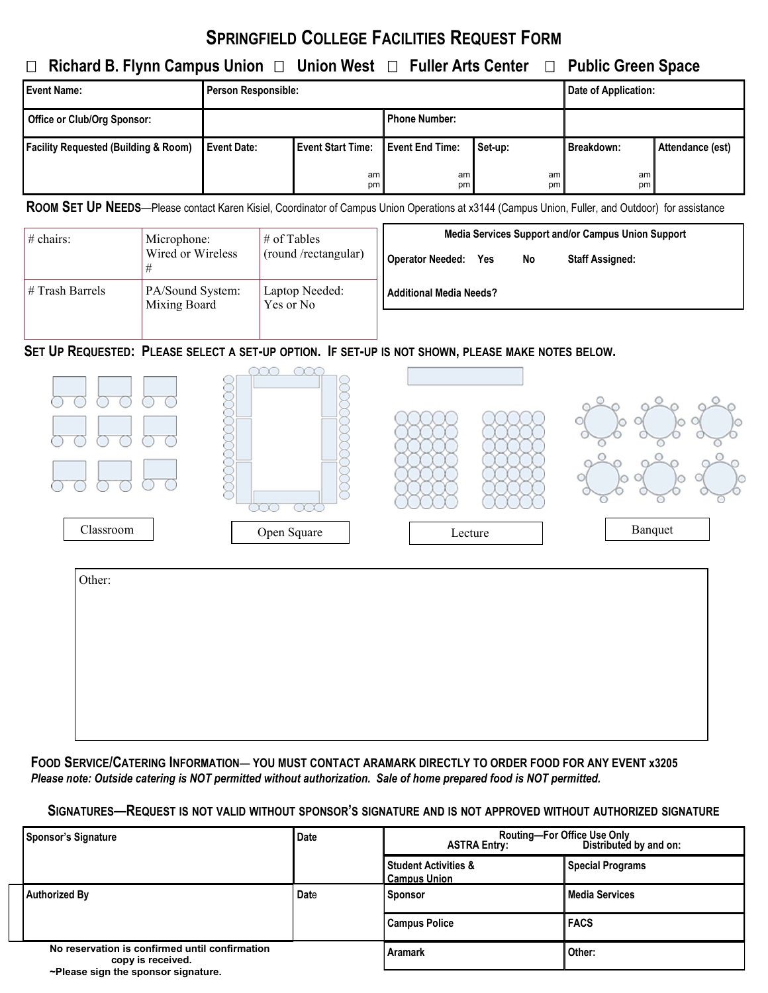# **SPRINGFIELD COLLEGE FACILITIES REQUEST FORM**

### **Richard B. Flynn Campus Union Union West Fuller Arts Center Public Green Space**

| <b>Event Name:</b>                              | <b>Person Responsible:</b> |                          |                        |          | Date of Application: |                  |
|-------------------------------------------------|----------------------------|--------------------------|------------------------|----------|----------------------|------------------|
| Office or Club/Org Sponsor:                     |                            |                          | <b>Phone Number:</b>   |          |                      |                  |
| <b>Facility Requested (Building &amp; Room)</b> | Event Date:                | <b>Event Start Time:</b> | <b>Event End Time:</b> | Set-up:  | Breakdown:           | Attendance (est) |
|                                                 |                            | am<br>pm                 | am<br>pm               | am<br>pm | am<br>pm             |                  |

**ROOM SET UP NEEDS**—Please contact Karen Kisiel, Coordinator of Campus Union Operations at x3144 (Campus Union, Fuller, and Outdoor) for assistance

| $\#$ chairs:    | Microphone:<br>Wired or Wireless | $\#$ of Tables<br>(round /rectangular) | Media Services Support and/or Campus Union Support             |  |  |
|-----------------|----------------------------------|----------------------------------------|----------------------------------------------------------------|--|--|
|                 |                                  |                                        | <b>Operator Needed:</b><br>No<br><b>Staff Assigned:</b><br>Yes |  |  |
| # Trash Barrels | PA/Sound System:<br>Mixing Board | Laptop Needed:<br>Yes or No            | <b>Additional Media Needs?</b>                                 |  |  |
|                 |                                  |                                        |                                                                |  |  |

#### SET UP REQUESTED: PLEASE SELECT A SET-UP OPTION. IF SET-UP IS NOT SHOWN, PLEASE MAKE NOTES BELOW.



| Other: |  |  |
|--------|--|--|
|        |  |  |
|        |  |  |
|        |  |  |
|        |  |  |
|        |  |  |

**FOOD SERVICE/CATERING INFORMATION**— **YOU MUST CONTACT ARAMARK DIRECTLY TO ORDER FOOD FOR ANY EVENT x3205**  *Please note: Outside catering is NOT permitted without authorization. Sale of home prepared food is NOT permitted.*

#### SIGNATURES-REQUEST IS NOT VALID WITHOUT SPONSOR'S SIGNATURE AND IS NOT APPROVED WITHOUT AUTHORIZED SIGNATURE

|                                                                                                            | <b>Sponsor's Signature</b> | Date    | Routing-For Office Use Only<br><b>ASTRA Entry:</b><br>Distributed by and on: |                         |  |
|------------------------------------------------------------------------------------------------------------|----------------------------|---------|------------------------------------------------------------------------------|-------------------------|--|
|                                                                                                            |                            |         | <b>Student Activities &amp;</b><br><b>Campus Union</b>                       | <b>Special Programs</b> |  |
|                                                                                                            | Authorized By              | Date    | <b>Sponsor</b>                                                               | Media Services          |  |
|                                                                                                            |                            |         | Campus Police                                                                | <b>IFACS</b>            |  |
| No reservation is confirmed until confirmation<br>copy is received.<br>~Please sign the sponsor signature. |                            | Aramark | Other:                                                                       |                         |  |